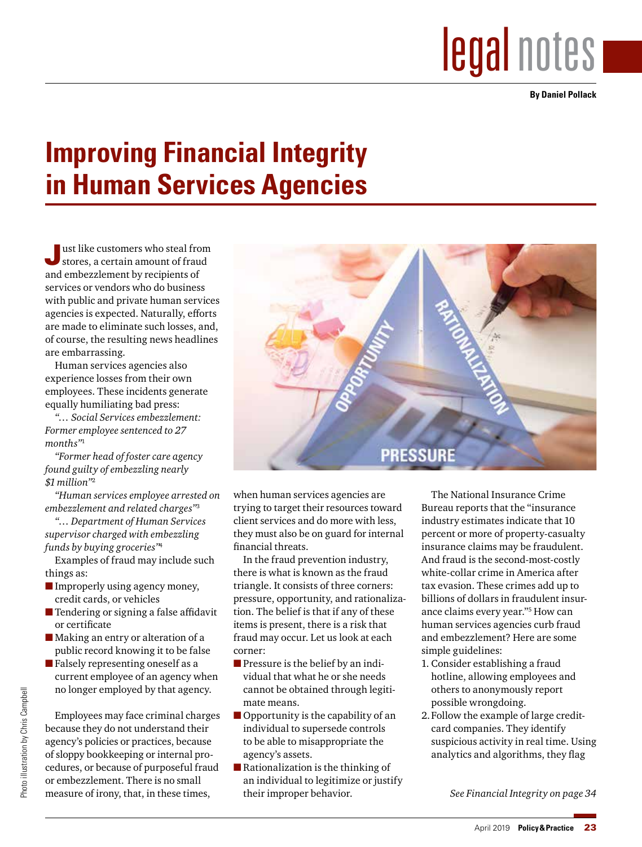# legal notes

**By Daniel Pollack**

# **Improving Financial Integrity in Human Services Agencies**

ust like customers who steal from stores, a certain amount of fraud and embezzlement by recipients of services or vendors who do business with public and private human services agencies is expected. Naturally, efforts are made to eliminate such losses, and, of course, the resulting news headlines are embarrassing.

Human services agencies also experience losses from their own employees. These incidents generate equally humiliating bad press:

*"… Social Services embezzlement: Former employee sentenced to 27 months"*<sup>1</sup>

*"Former head of foster care agency found guilty of embezzling nearly \$1 million"*<sup>2</sup>

*"Human services employee arrested on embezzlement and related charges"*<sup>3</sup>

*"… Department of Human Services supervisor charged with embezzling funds by buying groceries"*<sup>4</sup>

Examples of fraud may include such things as:

- $\blacksquare$  Improperly using agency money, credit cards, or vehicles
- $\blacksquare$  Tendering or signing a false affidavit or certificate
- $\blacksquare$  Making an entry or alteration of a public record knowing it to be false
- $\blacksquare$  Falsely representing oneself as a current employee of an agency when no longer employed by that agency.

Employees may face criminal charges because they do not understand their agency's policies or practices, because of sloppy bookkeeping or internal procedures, or because of purposeful fraud or embezzlement. There is no small measure of irony, that, in these times,



when human services agencies are trying to target their resources toward client services and do more with less, they must also be on guard for internal financial threats.

In the fraud prevention industry, there is what is known as the fraud triangle. It consists of three corners: pressure, opportunity, and rationalization. The belief is that if any of these items is present, there is a risk that fraud may occur. Let us look at each corner:

- $\blacksquare$  Pressure is the belief by an individual that what he or she needs cannot be obtained through legitimate means.
- $\Box$  Opportunity is the capability of an individual to supersede controls to be able to misappropriate the agency's assets.
- $\blacksquare$  Rationalization is the thinking of an individual to legitimize or justify their improper behavior.

The National Insurance Crime Bureau reports that the "insurance industry estimates indicate that 10 percent or more of property-casualty insurance claims may be fraudulent. And fraud is the second-most-costly white-collar crime in America after tax evasion. These crimes add up to billions of dollars in fraudulent insurance claims every year."5 How can human services agencies curb fraud and embezzlement? Here are some simple guidelines:

- 1. Consider establishing a fraud hotline, allowing employees and others to anonymously report possible wrongdoing.
- 2.Follow the example of large creditcard companies. They identify suspicious activity in real time. Using analytics and algorithms, they flag

*See Financial Integrity on page 34*